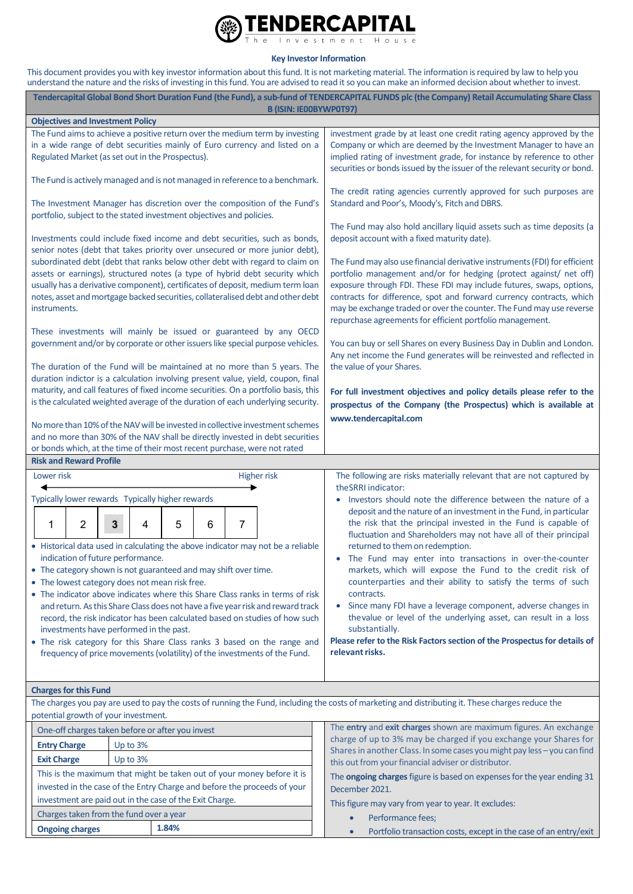

**Key Investor Information**

This document provides you with key investor information about this fund. It is not marketing material. The information is required by law to help you understand the nature and the risks of investing in this fund. You are advised to read it so you can make an informed decision about whether to invest.

| Tendercapital Global Bond Short Duration Fund (the Fund), a sub-fund of TENDERCAPITAL FUNDS plc (the Company) Retail Accumulating Share Class<br><b>B (ISIN: IEOOBYWPOT97)</b>                                                                                                                                                                  |                                                                                                                                                                                                                                                                                                                                                                                                                                       |
|-------------------------------------------------------------------------------------------------------------------------------------------------------------------------------------------------------------------------------------------------------------------------------------------------------------------------------------------------|---------------------------------------------------------------------------------------------------------------------------------------------------------------------------------------------------------------------------------------------------------------------------------------------------------------------------------------------------------------------------------------------------------------------------------------|
| <b>Objectives and Investment Policy</b>                                                                                                                                                                                                                                                                                                         |                                                                                                                                                                                                                                                                                                                                                                                                                                       |
| The Fund aims to achieve a positive return over the medium term by investing<br>in a wide range of debt securities mainly of Euro currency and listed on a<br>Regulated Market (as set out in the Prospectus).                                                                                                                                  | investment grade by at least one credit rating agency approved by the<br>Company or which are deemed by the Investment Manager to have an<br>implied rating of investment grade, for instance by reference to other                                                                                                                                                                                                                   |
|                                                                                                                                                                                                                                                                                                                                                 | securities or bonds issued by the issuer of the relevant security or bond.                                                                                                                                                                                                                                                                                                                                                            |
| The Fund is actively managed and is not managed in reference to a benchmark.                                                                                                                                                                                                                                                                    | The credit rating agencies currently approved for such purposes are                                                                                                                                                                                                                                                                                                                                                                   |
| The Investment Manager has discretion over the composition of the Fund's<br>portfolio, subject to the stated investment objectives and policies.                                                                                                                                                                                                | Standard and Poor's, Moody's, Fitch and DBRS.<br>The Fund may also hold ancillary liquid assets such as time deposits (a                                                                                                                                                                                                                                                                                                              |
| Investments could include fixed income and debt securities, such as bonds,<br>senior notes (debt that takes priority over unsecured or more junior debt),                                                                                                                                                                                       | deposit account with a fixed maturity date).                                                                                                                                                                                                                                                                                                                                                                                          |
| subordinated debt (debt that ranks below other debt with regard to claim on<br>assets or earnings), structured notes (a type of hybrid debt security which<br>usually has a derivative component), certificates of deposit, medium term loan<br>notes, asset and mortgage backed securities, collateralised debt and other debt<br>instruments. | The Fund may also use financial derivative instruments (FDI) for efficient<br>portfolio management and/or for hedging (protect against/ net off)<br>exposure through FDI. These FDI may include futures, swaps, options,<br>contracts for difference, spot and forward currency contracts, which<br>may be exchange traded or over the counter. The Fund may use reverse<br>repurchase agreements for efficient portfolio management. |
| These investments will mainly be issued or guaranteed by any OECD<br>government and/or by corporate or other issuers like special purpose vehicles.                                                                                                                                                                                             | You can buy or sell Shares on every Business Day in Dublin and London.<br>Any net income the Fund generates will be reinvested and reflected in                                                                                                                                                                                                                                                                                       |
| The duration of the Fund will be maintained at no more than 5 years. The<br>duration indictor is a calculation involving present value, yield, coupon, final                                                                                                                                                                                    | the value of your Shares.                                                                                                                                                                                                                                                                                                                                                                                                             |
| maturity, and call features of fixed income securities. On a portfolio basis, this<br>is the calculated weighted average of the duration of each underlying security.                                                                                                                                                                           | For full investment objectives and policy details please refer to the<br>prospectus of the Company (the Prospectus) which is available at                                                                                                                                                                                                                                                                                             |
| No more than 10% of the NAV will be invested in collective investment schemes<br>and no more than 30% of the NAV shall be directly invested in debt securities<br>or bonds which, at the time of their most recent purchase, were not rated                                                                                                     | www.tendercapital.com                                                                                                                                                                                                                                                                                                                                                                                                                 |
| <b>Risk and Reward Profile</b>                                                                                                                                                                                                                                                                                                                  |                                                                                                                                                                                                                                                                                                                                                                                                                                       |
| <b>Higher risk</b><br>Lower risk                                                                                                                                                                                                                                                                                                                | The following are risks materially relevant that are not captured by<br>theSRRI indicator:                                                                                                                                                                                                                                                                                                                                            |
| Typically lower rewards Typically higher rewards                                                                                                                                                                                                                                                                                                | Investors should note the difference between the nature of a                                                                                                                                                                                                                                                                                                                                                                          |
| 7<br>2<br>3<br>5<br>1<br>6<br>4                                                                                                                                                                                                                                                                                                                 | $\bullet$<br>deposit and the nature of an investment in the Fund, in particular<br>the risk that the principal invested in the Fund is capable of<br>fluctuation and Shareholders may not have all of their principal                                                                                                                                                                                                                 |
| • Historical data used in calculating the above indicator may not be a reliable<br>indication of future performance.                                                                                                                                                                                                                            | returned to them on redemption.<br>• The Fund may enter into transactions in over-the-counter                                                                                                                                                                                                                                                                                                                                         |
| • The category shown is not guaranteed and may shift over time.<br>• The lowest category does not mean risk free.                                                                                                                                                                                                                               | markets, which will expose the Fund to the credit risk of<br>counterparties and their ability to satisfy the terms of such                                                                                                                                                                                                                                                                                                            |
| • The indicator above indicates where this Share Class ranks in terms of risk                                                                                                                                                                                                                                                                   | contracts.                                                                                                                                                                                                                                                                                                                                                                                                                            |
| and return. As this Share Class does not have a five year risk and reward track<br>record, the risk indicator has been calculated based on studies of how such                                                                                                                                                                                  | Since many FDI have a leverage component, adverse changes in<br>$\bullet$<br>the value or level of the underlying asset, can result in a loss                                                                                                                                                                                                                                                                                         |
| investments have performed in the past.<br>• The risk category for this Share Class ranks 3 based on the range and                                                                                                                                                                                                                              | substantially.<br>Please refer to the Risk Factors section of the Prospectus for details of                                                                                                                                                                                                                                                                                                                                           |
| frequency of price movements (volatility) of the investments of the Fund.                                                                                                                                                                                                                                                                       | relevant risks.                                                                                                                                                                                                                                                                                                                                                                                                                       |
| <b>Charges for this Fund</b>                                                                                                                                                                                                                                                                                                                    |                                                                                                                                                                                                                                                                                                                                                                                                                                       |
| The charges you pay are used to pay the costs of running the Fund, including the costs of marketing and distributing it. These charges reduce the<br>potential growth of your investment.                                                                                                                                                       |                                                                                                                                                                                                                                                                                                                                                                                                                                       |
| One-off charges taken before or after you invest                                                                                                                                                                                                                                                                                                | The entry and exit charges shown are maximum figures. An exchange                                                                                                                                                                                                                                                                                                                                                                     |
| Up to 3%<br><b>Entry Charge</b>                                                                                                                                                                                                                                                                                                                 | charge of up to 3% may be charged if you exchange your Shares for<br>Shares in another Class. In some cases you might pay less - you can find                                                                                                                                                                                                                                                                                         |
| <b>Exit Charge</b><br>Up to $3%$                                                                                                                                                                                                                                                                                                                | this out from your financial adviser or distributor.                                                                                                                                                                                                                                                                                                                                                                                  |
| This is the maximum that might be taken out of your money before it is                                                                                                                                                                                                                                                                          | The ongoing charges figure is based on expenses for the year ending 31                                                                                                                                                                                                                                                                                                                                                                |
| invested in the case of the Entry Charge and before the proceeds of your                                                                                                                                                                                                                                                                        | December 2021.                                                                                                                                                                                                                                                                                                                                                                                                                        |
| investment are paid out in the case of the Exit Charge.                                                                                                                                                                                                                                                                                         | This figure may vary from year to year. It excludes:                                                                                                                                                                                                                                                                                                                                                                                  |

Charges taken from the fund over a year **Ongoing charges 1.84%**

• Performance fees; • Portfolio transaction costs, except in the case of an entry/exit